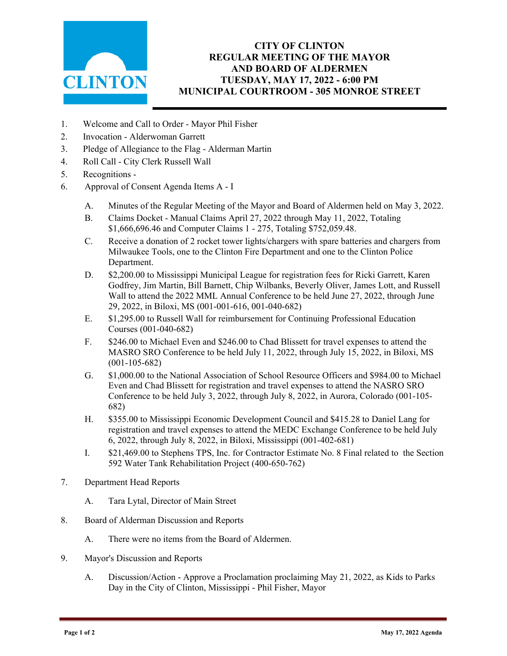

## **CITY OF CLINTON REGULAR MEETING OF THE MAYOR AND BOARD OF ALDERMEN TUESDAY, MAY 17, 2022 - 6:00 PM MUNICIPAL COURTROOM - 305 MONROE STREET**

- 1. Welcome and Call to Order Mayor Phil Fisher
- 2. Invocation Alderwoman Garrett
- 3. Pledge of Allegiance to the Flag Alderman Martin
- 4. Roll Call City Clerk Russell Wall
- 5. Recognitions -
- 6. Approval of Consent Agenda Items A I
	- A. Minutes of the Regular Meeting of the Mayor and Board of Aldermen held on May 3, 2022.
	- B. Claims Docket Manual Claims April 27, 2022 through May 11, 2022, Totaling \$1,666,696.46 and Computer Claims 1 - 275, Totaling \$752,059.48.
	- C. Receive a donation of 2 rocket tower lights/chargers with spare batteries and chargers from Milwaukee Tools, one to the Clinton Fire Department and one to the Clinton Police Department.
	- D. \$2,200.00 to Mississippi Municipal League for registration fees for Ricki Garrett, Karen Godfrey, Jim Martin, Bill Barnett, Chip Wilbanks, Beverly Oliver, James Lott, and Russell Wall to attend the 2022 MML Annual Conference to be held June 27, 2022, through June 29, 2022, in Biloxi, MS (001-001-616, 001-040-682)
	- E. \$1,295.00 to Russell Wall for reimbursement for Continuing Professional Education Courses (001-040-682)
	- F. \$246.00 to Michael Even and \$246.00 to Chad Blissett for travel expenses to attend the MASRO SRO Conference to be held July 11, 2022, through July 15, 2022, in Biloxi, MS (001-105-682)
	- G. \$1,000.00 to the National Association of School Resource Officers and \$984.00 to Michael Even and Chad Blissett for registration and travel expenses to attend the NASRO SRO Conference to be held July 3, 2022, through July 8, 2022, in Aurora, Colorado (001-105- 682)
	- H. \$355.00 to Mississippi Economic Development Council and \$415.28 to Daniel Lang for registration and travel expenses to attend the MEDC Exchange Conference to be held July 6, 2022, through July 8, 2022, in Biloxi, Mississippi (001-402-681)
	- I. \$21,469.00 to Stephens TPS, Inc. for Contractor Estimate No. 8 Final related to the Section 592 Water Tank Rehabilitation Project (400-650-762)
- 7. Department Head Reports
	- A. Tara Lytal, Director of Main Street
- 8. Board of Alderman Discussion and Reports
	- A. There were no items from the Board of Aldermen.
- 9. Mayor's Discussion and Reports
	- A. Discussion/Action Approve a Proclamation proclaiming May 21, 2022, as Kids to Parks Day in the City of Clinton, Mississippi - Phil Fisher, Mayor